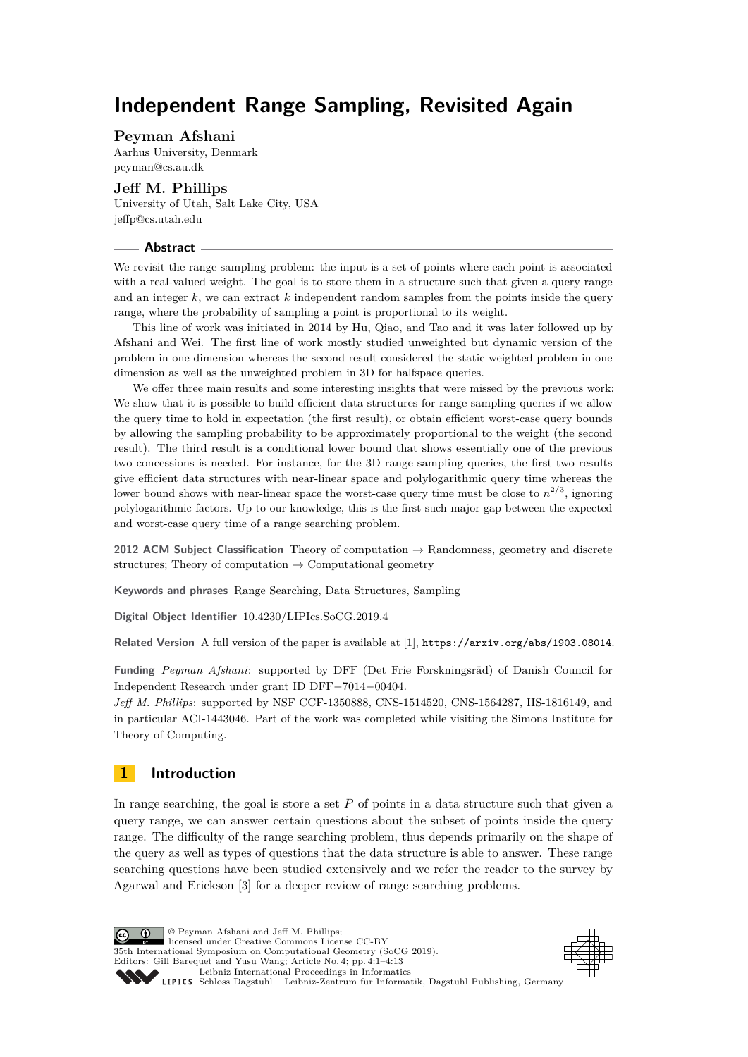# **Independent Range Sampling, Revisited Again**

## **Peyman Afshani**

Aarhus University, Denmark [peyman@cs.au.dk](mailto:peyman@cs.au.dk)

## **Jeff M. Phillips**

University of Utah, Salt Lake City, USA [jeffp@cs.utah.edu](mailto:jeffp@cs.utah.edu)

## **Abstract**

We revisit the range sampling problem: the input is a set of points where each point is associated with a real-valued weight. The goal is to store them in a structure such that given a query range and an integer *k*, we can extract *k* independent random samples from the points inside the query range, where the probability of sampling a point is proportional to its weight.

This line of work was initiated in 2014 by Hu, Qiao, and Tao and it was later followed up by Afshani and Wei. The first line of work mostly studied unweighted but dynamic version of the problem in one dimension whereas the second result considered the static weighted problem in one dimension as well as the unweighted problem in 3D for halfspace queries.

We offer three main results and some interesting insights that were missed by the previous work: We show that it is possible to build efficient data structures for range sampling queries if we allow the query time to hold in expectation (the first result), or obtain efficient worst-case query bounds by allowing the sampling probability to be approximately proportional to the weight (the second result). The third result is a conditional lower bound that shows essentially one of the previous two concessions is needed. For instance, for the 3D range sampling queries, the first two results give efficient data structures with near-linear space and polylogarithmic query time whereas the lower bound shows with near-linear space the worst-case query time must be close to  $n^{2/3}$ , ignoring polylogarithmic factors. Up to our knowledge, this is the first such major gap between the expected and worst-case query time of a range searching problem.

**2012 ACM Subject Classification** Theory of computation → Randomness, geometry and discrete structures; Theory of computation  $\rightarrow$  Computational geometry

**Keywords and phrases** Range Searching, Data Structures, Sampling

**Digital Object Identifier** [10.4230/LIPIcs.SoCG.2019.4](https://doi.org/10.4230/LIPIcs.SoCG.2019.4)

Related Version A full version of the paper is available at [\[1\]](#page-11-0), <https://arxiv.org/abs/1903.08014>.

**Funding** *Peyman Afshani*: supported by DFF (Det Frie Forskningsräd) of Danish Council for Independent Research under grant ID DFF−7014−00404.

*Jeff M. Phillips*: supported by NSF CCF-1350888, CNS-1514520, CNS-1564287, IIS-1816149, and in particular ACI-1443046. Part of the work was completed while visiting the Simons Institute for Theory of Computing.

# **1 Introduction**

In range searching, the goal is store a set *P* of points in a data structure such that given a query range, we can answer certain questions about the subset of points inside the query range. The difficulty of the range searching problem, thus depends primarily on the shape of the query as well as types of questions that the data structure is able to answer. These range searching questions have been studied extensively and we refer the reader to the survey by Agarwal and Erickson [\[3\]](#page-12-0) for a deeper review of range searching problems.

© Peyman Afshani and Jeff M. Phillips;  $\boxed{6}$   $\boxed{0}$   $\boxed{)}$ licensed under Creative Commons License CC-BY 35th International Symposium on Computational Geometry (SoCG 2019). Editors: Gill Barequet and Yusu Wang; Article No. 4; pp. 4:1–4[:13](#page-12-1) [Leibniz International Proceedings in Informatics](https://www.dagstuhl.de/lipics/) SCHLOSS Dagstuhl – Leibniz-Zentrum für Informatik, Dagstuhl Publishing, Germany

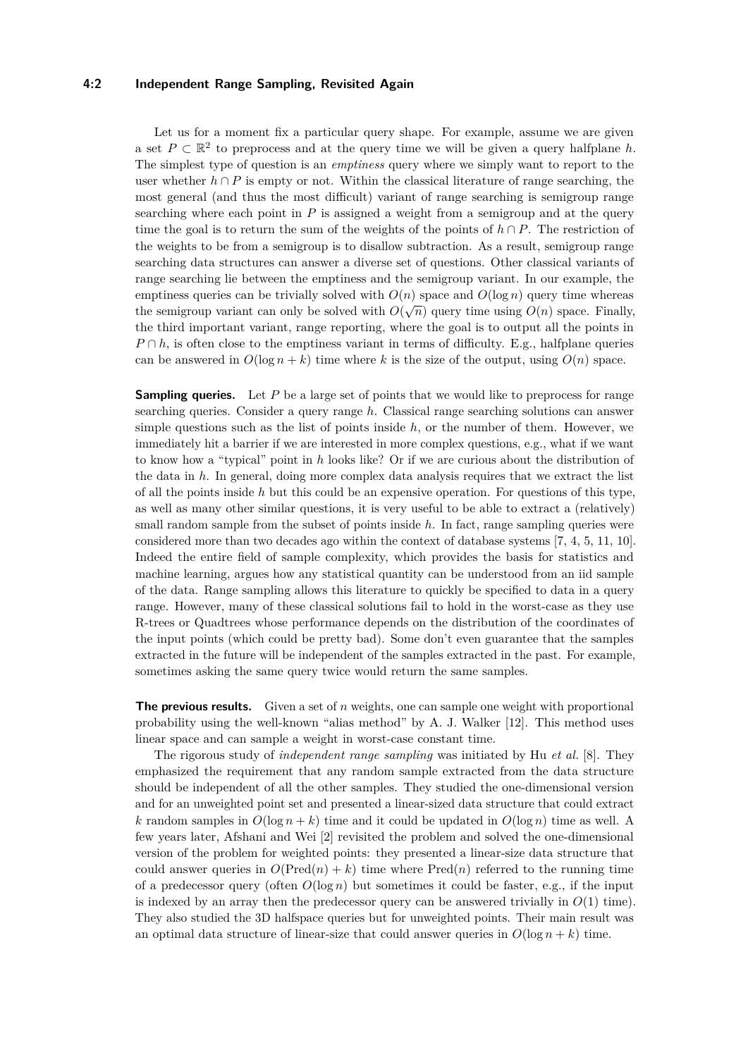## **4:2 Independent Range Sampling, Revisited Again**

Let us for a moment fix a particular query shape. For example, assume we are given a set  $P \subset \mathbb{R}^2$  to preprocess and at the query time we will be given a query halfplane h. The simplest type of question is an *emptiness* query where we simply want to report to the user whether  $h \cap P$  is empty or not. Within the classical literature of range searching, the most general (and thus the most difficult) variant of range searching is semigroup range searching where each point in *P* is assigned a weight from a semigroup and at the query time the goal is to return the sum of the weights of the points of  $h \cap P$ . The restriction of the weights to be from a semigroup is to disallow subtraction. As a result, semigroup range searching data structures can answer a diverse set of questions. Other classical variants of range searching lie between the emptiness and the semigroup variant. In our example, the emptiness queries can be trivially solved with  $O(n)$  space and  $O(\log n)$  query time whereas the semigroup variant can only be solved with  $O(\sqrt{n})$  query time using  $O(n)$  space. Finally, the third important variant, range reporting, where the goal is to output all the points in  $P \cap h$ , is often close to the emptiness variant in terms of difficulty. E.g., halfplane queries can be answered in  $O(\log n + k)$  time where k is the size of the output, using  $O(n)$  space.

**Sampling queries.** Let P be a large set of points that we would like to preprocess for range searching queries. Consider a query range *h*. Classical range searching solutions can answer simple questions such as the list of points inside *h*, or the number of them. However, we immediately hit a barrier if we are interested in more complex questions, e.g., what if we want to know how a "typical" point in *h* looks like? Or if we are curious about the distribution of the data in *h*. In general, doing more complex data analysis requires that we extract the list of all the points inside *h* but this could be an expensive operation. For questions of this type, as well as many other similar questions, it is very useful to be able to extract a (relatively) small random sample from the subset of points inside *h*. In fact, range sampling queries were considered more than two decades ago within the context of database systems [\[7,](#page-12-2) [4,](#page-12-3) [5,](#page-12-4) [11,](#page-12-5) [10\]](#page-12-6). Indeed the entire field of sample complexity, which provides the basis for statistics and machine learning, argues how any statistical quantity can be understood from an iid sample of the data. Range sampling allows this literature to quickly be specified to data in a query range. However, many of these classical solutions fail to hold in the worst-case as they use R-trees or Quadtrees whose performance depends on the distribution of the coordinates of the input points (which could be pretty bad). Some don't even guarantee that the samples extracted in the future will be independent of the samples extracted in the past. For example, sometimes asking the same query twice would return the same samples.

**The previous results.** Given a set of *n* weights, one can sample one weight with proportional probability using the well-known "alias method" by A. J. Walker [\[12\]](#page-12-7). This method uses linear space and can sample a weight in worst-case constant time.

The rigorous study of *independent range sampling* was initiated by Hu *et al.* [\[8\]](#page-12-8). They emphasized the requirement that any random sample extracted from the data structure should be independent of all the other samples. They studied the one-dimensional version and for an unweighted point set and presented a linear-sized data structure that could extract *k* random samples in  $O(\log n + k)$  time and it could be updated in  $O(\log n)$  time as well. A few years later, Afshani and Wei [\[2\]](#page-11-1) revisited the problem and solved the one-dimensional version of the problem for weighted points: they presented a linear-size data structure that could answer queries in  $O(\text{Pred}(n) + k)$  time where  $\text{Pred}(n)$  referred to the running time of a predecessor query (often  $O(\log n)$ ) but sometimes it could be faster, e.g., if the input is indexed by an array then the predecessor query can be answered trivially in  $O(1)$  time). They also studied the 3D halfspace queries but for unweighted points. Their main result was an optimal data structure of linear-size that could answer queries in  $O(\log n + k)$  time.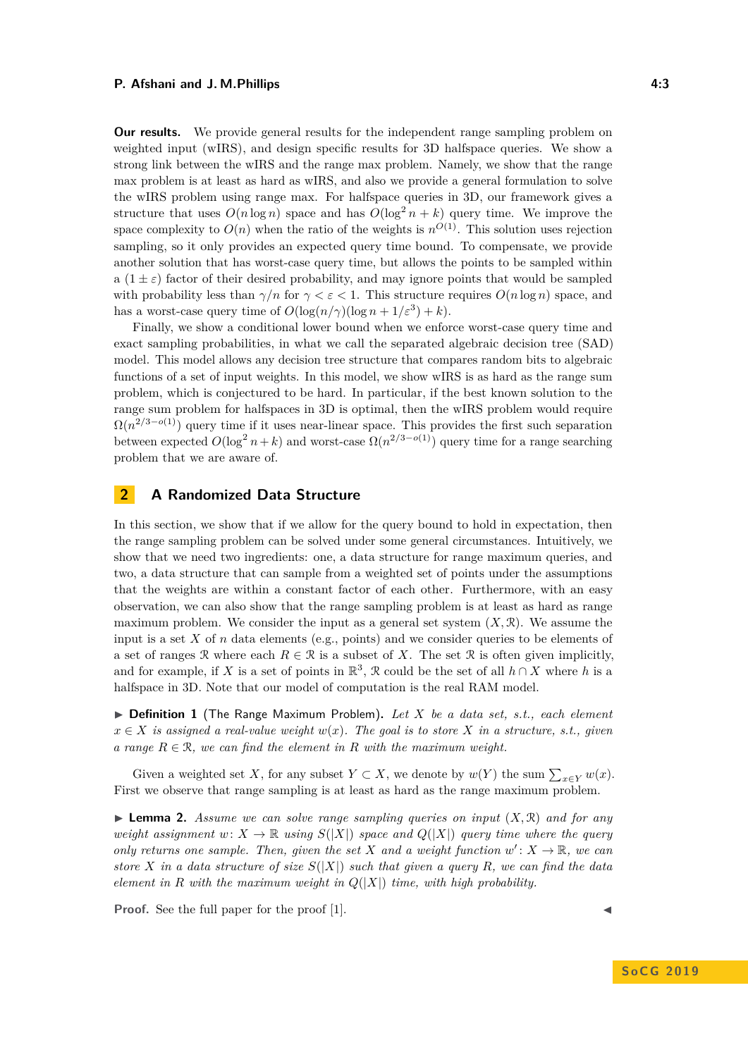#### **P. Afshani and J. M.Phillips 4:3**

**Our results.** We provide general results for the independent range sampling problem on weighted input (wIRS), and design specific results for 3D halfspace queries. We show a strong link between the wIRS and the range max problem. Namely, we show that the range max problem is at least as hard as wIRS, and also we provide a general formulation to solve the wIRS problem using range max. For halfspace queries in 3D, our framework gives a structure that uses  $O(n \log n)$  space and has  $O(\log^2 n + k)$  query time. We improve the space complexity to  $O(n)$  when the ratio of the weights is  $n^{O(1)}$ . This solution uses rejection sampling, so it only provides an expected query time bound. To compensate, we provide another solution that has worst-case query time, but allows the points to be sampled within a  $(1 \pm \varepsilon)$  factor of their desired probability, and may ignore points that would be sampled with probability less than  $\gamma/n$  for  $\gamma < \varepsilon < 1$ . This structure requires  $O(n \log n)$  space, and has a worst-case query time of  $O(\log(n/\gamma)(\log n + 1/\varepsilon^3) + k)$ .

Finally, we show a conditional lower bound when we enforce worst-case query time and exact sampling probabilities, in what we call the separated algebraic decision tree (SAD) model. This model allows any decision tree structure that compares random bits to algebraic functions of a set of input weights. In this model, we show wIRS is as hard as the range sum problem, which is conjectured to be hard. In particular, if the best known solution to the range sum problem for halfspaces in 3D is optimal, then the wIRS problem would require  $\Omega(n^{2/3-o(1)})$  query time if it uses near-linear space. This provides the first such separation between expected  $O(\log^2 n + k)$  and worst-case  $\Omega(n^{2/3-o(1)})$  query time for a range searching problem that we are aware of.

## **2 A Randomized Data Structure**

In this section, we show that if we allow for the query bound to hold in expectation, then the range sampling problem can be solved under some general circumstances. Intuitively, we show that we need two ingredients: one, a data structure for range maximum queries, and two, a data structure that can sample from a weighted set of points under the assumptions that the weights are within a constant factor of each other. Furthermore, with an easy observation, we can also show that the range sampling problem is at least as hard as range maximum problem. We consider the input as a general set system  $(X, \mathcal{R})$ . We assume the input is a set *X* of *n* data elements (e.g., points) and we consider queries to be elements of a set of ranges R where each  $R \in \mathcal{R}$  is a subset of X. The set R is often given implicitly, and for example, if *X* is a set of points in  $\mathbb{R}^3$ , *R* could be the set of all  $h \cap X$  where *h* is a halfspace in 3D. Note that our model of computation is the real RAM model.

▶ **Definition 1** (The Range Maximum Problem). Let *X* be a data set, s.t., each element  $x \in X$  *is assigned a real-value weight*  $w(x)$ *. The goal is to store X in a structure, s.t., given a range*  $R \in \mathcal{R}$ *, we can find the element in*  $R$  *with the maximum weight.* 

Given a weighted set *X*, for any subset  $Y \subset X$ , we denote by  $w(Y)$  the sum  $\sum_{x \in Y} w(x)$ . First we observe that range sampling is at least as hard as the range maximum problem.

<span id="page-2-0"></span>**I Lemma 2.** Assume we can solve range sampling queries on input  $(X, \mathcal{R})$  and for any *weight assignment*  $w: X \to \mathbb{R}$  *using*  $S(|X|)$  *space and*  $Q(|X|)$  *query time where the query only returns one sample. Then, given the set X* and a weight function  $w' : X \to \mathbb{R}$ , we can *store X* in a data structure of size  $S(|X|)$  *such that given a query R, we can find the data element in R with the maximum weight in Q*(|*X*|) *time, with high probability.*

**Proof.** See the full paper for the proof [\[1\]](#page-11-0).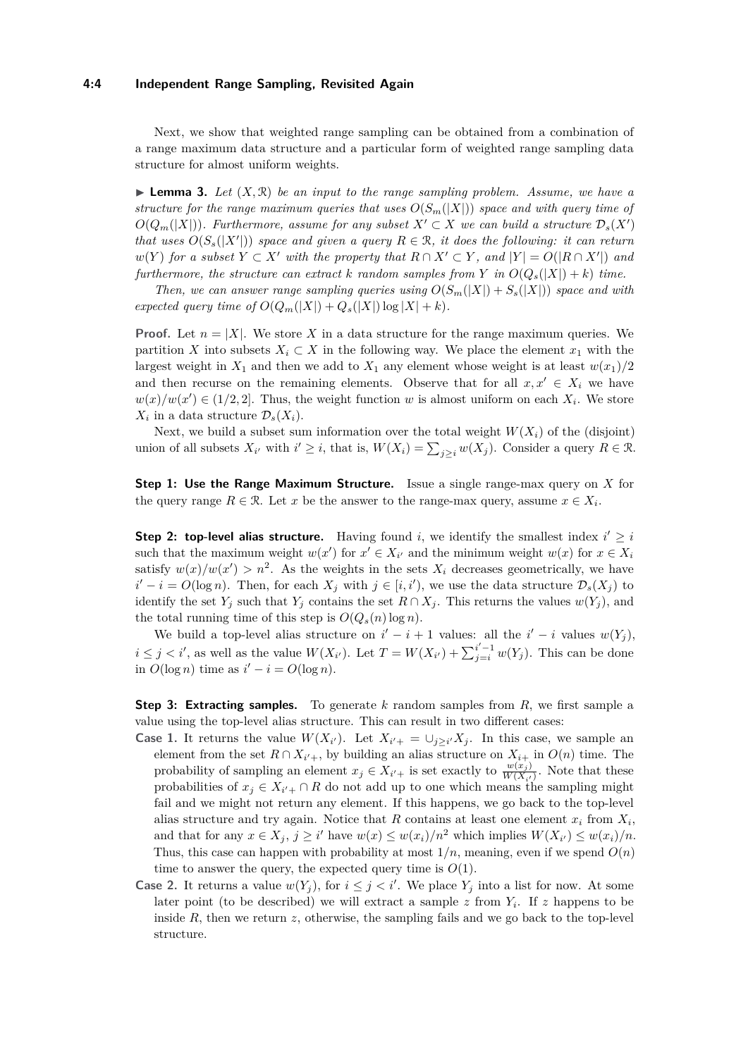## **4:4 Independent Range Sampling, Revisited Again**

Next, we show that weighted range sampling can be obtained from a combination of a range maximum data structure and a particular form of weighted range sampling data structure for almost uniform weights.

<span id="page-3-0"></span>**Lemma 3.** Let  $(X, \mathcal{R})$  be an input to the range sampling problem. Assume, we have a *structure for the range maximum queries that uses*  $O(S_m(|X|))$  *space and with query time of O*( $Q_m(|X|)$ ). Furthermore, assume for any subset  $X' \subset X$  we can build a structure  $\mathcal{D}_s(X')$ *that uses*  $O(S_s(|X'|))$  *space and given a query*  $R \in \mathcal{R}$ *, it does the following: it can return w*(*Y*) *for a subset Y* ⊂ *X*<sup>*'*</sup> *with the property that*  $R \cap X' \subset Y$ *, and*  $|Y| = O(|R \cap X'|)$  *and furthermore, the structure can extract k random samples from Y in*  $O(Q_s(|X|) + k)$  *time.* 

*Then, we can answer range sampling queries using*  $O(S_m(|X|) + S_s(|X|))$  *space and with expected query time of*  $O(Q_m(|X|) + Q_s(|X|) \log |X| + k)$ .

**Proof.** Let  $n = |X|$ . We store X in a data structure for the range maximum queries. We partition *X* into subsets  $X_i \subset X$  in the following way. We place the element  $x_1$  with the largest weight in  $X_1$  and then we add to  $X_1$  any element whose weight is at least  $w(x_1)/2$ and then recurse on the remaining elements. Observe that for all  $x, x' \in X_i$  we have  $w(x)/w(x') \in (1/2, 2]$ . Thus, the weight function *w* is almost uniform on each  $X_i$ . We store  $X_i$  in a data structure  $\mathcal{D}_s(X_i)$ .

Next, we build a subset sum information over the total weight  $W(X_i)$  of the (disjoint) union of all subsets  $X_{i'}$  with  $i' \geq i$ , that is,  $W(X_i) = \sum_{j \geq i} w(X_j)$ . Consider a query  $R \in \mathcal{R}$ .

**Step 1: Use the Range Maximum Structure.** Issue a single range-max query on *X* for the query range  $R \in \mathcal{R}$ . Let *x* be the answer to the range-max query, assume  $x \in X_i$ .

**Step 2: top-level alias structure.** Having found *i*, we identify the smallest index  $i' \geq i$ such that the maximum weight  $w(x')$  for  $x' \in X_{i'}$  and the minimum weight  $w(x)$  for  $x \in X_i$ satisfy  $w(x)/w(x') > n^2$ . As the weights in the sets  $X_i$  decreases geometrically, we have  $i' - i = O(\log n)$ . Then, for each  $X_j$  with  $j \in [i, i')$ , we use the data structure  $\mathcal{D}_s(X_j)$  to identify the set  $Y_i$  such that  $Y_i$  contains the set  $R \cap X_i$ . This returns the values  $w(Y_i)$ , and the total running time of this step is  $O(Q_s(n) \log n)$ .

We build a top-level alias structure on  $i' - i + 1$  values: all the  $i' - i$  values  $w(Y_j)$ ,  $i \leq j < i'$ , as well as the value  $W(X_{i'})$ . Let  $T = W(X_{i'}) + \sum_{j=i}^{i'-1} w(Y_j)$ . This can be done in  $O(\log n)$  time as  $i' - i = O(\log n)$ .

**Step 3: Extracting samples.** To generate *k* random samples from *R*, we first sample a value using the top-level alias structure. This can result in two different cases:

- **Case 1.** It returns the value  $W(X_{i'})$ . Let  $X_{i'+} = \bigcup_{j\geq i'} X_j$ . In this case, we sample an element from the set  $R \cap X_{i' + 1}$ , by building an alias structure on  $X_{i+1}$  in  $O(n)$  time. The probability of sampling an element  $x_j \in X_{i' +}$  is set exactly to  $\frac{w(x_j)}{W(X_{i'})}$ . Note that these probabilities of  $x_j \in X_{i' + } \cap R$  do not add up to one which means the sampling might fail and we might not return any element. If this happens, we go back to the top-level alias structure and try again. Notice that  $R$  contains at least one element  $x_i$  from  $X_i$ , and that for any  $x \in X_j$ ,  $j \geq i'$  have  $w(x) \leq w(x_i)/n^2$  which implies  $W(X_{i'}) \leq w(x_i)/n$ . Thus, this case can happen with probability at most  $1/n$ , meaning, even if we spend  $O(n)$ time to answer the query, the expected query time is  $O(1)$ .
- **Case 2.** It returns a value  $w(Y_j)$ , for  $i \leq j \leq i'$ . We place  $Y_j$  into a list for now. At some later point (to be described) we will extract a sample *z* from *Y<sup>i</sup>* . If *z* happens to be inside  $R$ , then we return  $z$ , otherwise, the sampling fails and we go back to the top-level structure.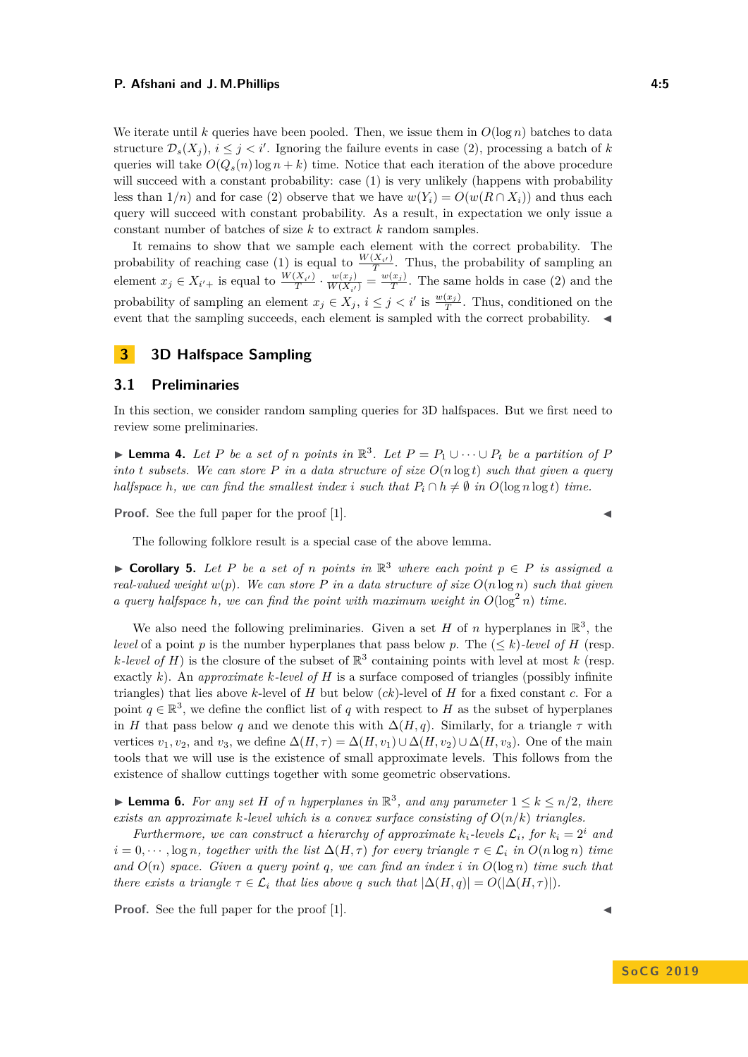#### **P. Afshani and J. M.Phillips 4:5**

We iterate until k queries have been pooled. Then, we issue them in  $O(\log n)$  batches to data structure  $\mathcal{D}_s(X_j)$ ,  $i \leq j < i'$ . Ignoring the failure events in case (2), processing a batch of *k* queries will take  $O(Q_s(n)\log n + k)$  time. Notice that each iteration of the above procedure will succeed with a constant probability: case  $(1)$  is very unlikely (happens with probability less than  $1/n$  and for case (2) observe that we have  $w(Y_i) = O(w(R \cap X_i))$  and thus each query will succeed with constant probability. As a result, in expectation we only issue a constant number of batches of size *k* to extract *k* random samples.

It remains to show that we sample each element with the correct probability. The probability of reaching case (1) is equal to  $\frac{W(X_i)}{T}$  $\frac{X_{i'}(X_{i'})}{T}$ . Thus, the probability of sampling an element  $x_j \in X_{i' + 1}$  is equal to  $\frac{W(X_i)}{T}$  $\frac{d(X_i)}{T} \cdot \frac{w(x_j)}{W(X_{i'})}$  $\frac{w(x_j)}{W(X_{i'})} = \frac{w(x_j)}{T}$ . The same holds in case (2) and the probability of sampling an element  $x_j \in X_j$ ,  $i \leq j < i'$  is  $\frac{w(x_j)}{T}$ . Thus, conditioned on the event that the sampling succeeds, each element is sampled with the correct probability.  $\blacktriangleleft$ 

## **3 3D Halfspace Sampling**

## **3.1 Preliminaries**

In this section, we consider random sampling queries for 3D halfspaces. But we first need to review some preliminaries.

**Example 4.** Let P be a set of *n* points in  $\mathbb{R}^3$ . Let  $P = P_1 \cup \cdots \cup P_t$  be a partition of P *into t* subsets. We can store P in a data structure of size  $O(n \log t)$  such that given a query *halfspace h*, we can find the smallest index *i* such that  $P_i \cap h \neq \emptyset$  in  $O(\log n \log t)$  time.

**Proof.** See the full paper for the proof [\[1\]](#page-11-0).

The following folklore result is a special case of the above lemma.

<span id="page-4-0"></span>▶ **Corollary 5.** Let P be a set of *n* points in  $\mathbb{R}^3$  where each point  $p \in P$  is assigned a *real-valued weight*  $w(p)$ *. We can store P in a data structure of size*  $O(n \log n)$  *such that given a query halfspace h*, we can find the point with maximum weight in  $O(\log^2 n)$  time.

We also need the following preliminaries. Given a set  $H$  of  $n$  hyperplanes in  $\mathbb{R}^3$ , the *level* of a point *p* is the number hyperplanes that pass below *p*. The  $(*k*)$ *-level of H* (resp.  $k$ *-level of H*) is the closure of the subset of  $\mathbb{R}^3$  containing points with level at most *k* (resp. exactly *k*). An *approximate k-level of H* is a surface composed of triangles (possibly infinite triangles) that lies above  $k$ -level of  $H$  but below  $(ck)$ -level of  $H$  for a fixed constant  $c$ . For a point  $q \in \mathbb{R}^3$ , we define the conflict list of *q* with respect to *H* as the subset of hyperplanes in *H* that pass below *q* and we denote this with  $\Delta(H, q)$ . Similarly, for a triangle  $\tau$  with vertices  $v_1, v_2$ , and  $v_3$ , we define  $\Delta(H, \tau) = \Delta(H, v_1) \cup \Delta(H, v_2) \cup \Delta(H, v_3)$ . One of the main tools that we will use is the existence of small approximate levels. This follows from the existence of shallow cuttings together with some geometric observations.

<span id="page-4-1"></span>**I Lemma 6.** For any set H of *n* hyperplanes in  $\mathbb{R}^3$ , and any parameter  $1 \leq k \leq n/2$ , there *exists an approximate k*-level which is a convex surface consisting of  $O(n/k)$  *triangles.* 

*Furthermore, we can construct a hierarchy of approximate*  $k_i$ -levels  $\mathcal{L}_i$ , for  $k_i = 2^i$  and  $i = 0, \dots, \log n$ , *together with the list*  $\Delta(H, \tau)$  *for every triangle*  $\tau \in \mathcal{L}_i$  *in*  $O(n \log n)$  *time* and  $O(n)$  *space. Given a query point q,* we can find an index *i* in  $O(\log n)$  *time such that there exists a triangle*  $\tau \in \mathcal{L}_i$  *that lies above q such that*  $|\Delta(H, q)| = O(|\Delta(H, \tau)|)$ *.* 

**Proof.** See the full paper for the proof [\[1\]](#page-11-0).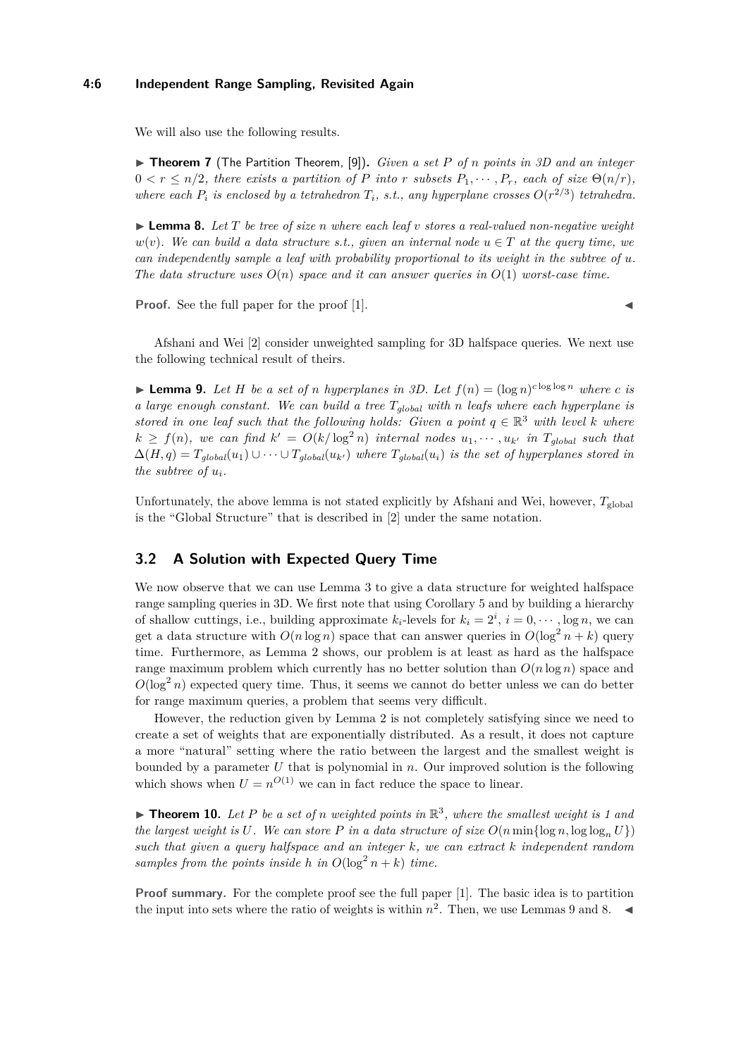## **4:6 Independent Range Sampling, Revisited Again**

We will also use the following results.

▶ **Theorem 7** (The Partition Theorem, [\[9\]](#page-12-9)). *Given a set P of n points in 3D and an integer*  $0 < r \leq n/2$ , there exists a partition of P into r subsets  $P_1, \dots, P_r$ , each of size  $\Theta(n/r)$ , *where each*  $P_i$  *is enclosed by a tetrahedron*  $T_i$ *, s.t., any hyperplane crosses*  $O(r^{2/3})$  *tetrahedra.* 

<span id="page-5-1"></span>I **Lemma 8.** *Let T be tree of size n where each leaf v stores a real-valued non-negative weight*  $w(v)$ *. We can build a data structure s.t., given an internal node*  $u \in T$  *at the query time, we can independently sample a leaf with probability proportional to its weight in the subtree of u. The data structure uses*  $O(n)$  *space and it can answer queries in*  $O(1)$  *worst-case time.* 

**Proof.** See the full paper for the proof [\[1\]](#page-11-0).

Afshani and Wei [\[2\]](#page-11-1) consider unweighted sampling for 3D halfspace queries. We next use the following technical result of theirs.

<span id="page-5-0"></span>**Example 10.** Let *H* be a set of *n* hyperplanes in 3D. Let  $f(n) = (\log n)^{c \log \log n}$  where c is *a large enough constant. We can build a tree Tglobal with n leafs where each hyperplane is stored in one leaf such that the following holds: Given a point*  $q \in \mathbb{R}^3$  *with level k where*  $k \geq f(n)$ , we can find  $k' = O(k/\log^2 n)$  internal nodes  $u_1, \dots, u_{k'}$  in  $T_{global}$  such that  $\Delta(H, q) = T_{global}(u_1) \cup \cdots \cup T_{global}(u_{k'})$  where  $T_{global}(u_i)$  is the set of hyperplanes stored in *the subtree of ui.*

Unfortunately, the above lemma is not stated explicitly by Afshani and Wei, however,  $T_{\text{global}}$ is the "Global Structure" that is described in [\[2\]](#page-11-1) under the same notation.

## <span id="page-5-2"></span>**3.2 A Solution with Expected Query Time**

We now observe that we can use Lemma [3](#page-3-0) to give a data structure for weighted halfspace range sampling queries in 3D. We first note that using Corollary [5](#page-4-0) and by building a hierarchy of shallow cuttings, i.e., building approximate  $k_i$ -levels for  $k_i = 2^i$ ,  $i = 0, \dots, \log n$ , we can get a data structure with  $O(n \log n)$  space that can answer queries in  $O(\log^2 n + k)$  query time. Furthermore, as Lemma [2](#page-2-0) shows, our problem is at least as hard as the halfspace range maximum problem which currently has no better solution than  $O(n \log n)$  space and  $O(\log^2 n)$  expected query time. Thus, it seems we cannot do better unless we can do better for range maximum queries, a problem that seems very difficult.

However, the reduction given by Lemma [2](#page-2-0) is not completely satisfying since we need to create a set of weights that are exponentially distributed. As a result, it does not capture a more "natural" setting where the ratio between the largest and the smallest weight is bounded by a parameter *U* that is polynomial in *n*. Our improved solution is the following which shows when  $U = n^{O(1)}$  we can in fact reduce the space to linear.

**Theorem 10.** Let P be a set of *n* weighted points in  $\mathbb{R}^3$ , where the smallest weight is 1 and *the largest weight is* U. We can store P in a data structure of size  $O(n \min\{\log n, \log \log n U\})$ *such that given a query halfspace and an integer k, we can extract k independent random samples from the points inside h in*  $O(\log^2 n + k)$  *time.* 

**Proof summary.** For the complete proof see the full paper [\[1\]](#page-11-0). The basic idea is to partition the input into sets where the ratio of weights is within  $n^2$ . Then, we use Lemmas [9](#page-5-0) and [8.](#page-5-1)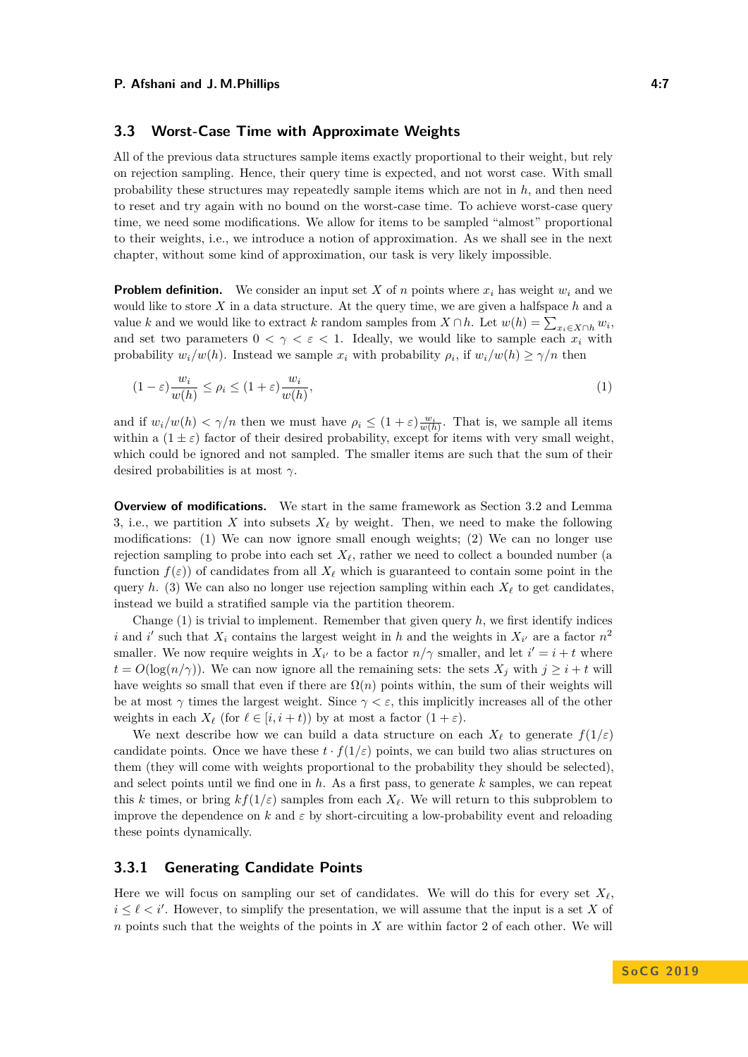## **3.3 Worst-Case Time with Approximate Weights**

All of the previous data structures sample items exactly proportional to their weight, but rely on rejection sampling. Hence, their query time is expected, and not worst case. With small probability these structures may repeatedly sample items which are not in *h*, and then need to reset and try again with no bound on the worst-case time. To achieve worst-case query time, we need some modifications. We allow for items to be sampled "almost" proportional to their weights, i.e., we introduce a notion of approximation. As we shall see in the next chapter, without some kind of approximation, our task is very likely impossible.

**Problem definition.** We consider an input set *X* of *n* points where  $x_i$  has weight  $w_i$  and we would like to store *X* in a data structure. At the query time, we are given a halfspace *h* and a value *k* and we would like to extract *k* random samples from  $X \cap h$ . Let  $w(h) = \sum_{x_i \in X \cap h} w_i$ , and set two parameters  $0 < \gamma < \varepsilon < 1$ . Ideally, we would like to sample each  $x_i$  with probability  $w_i/w(h)$ . Instead we sample  $x_i$  with probability  $\rho_i$ , if  $w_i/w(h) \geq \gamma/n$  then

<span id="page-6-0"></span>
$$
(1 - \varepsilon) \frac{w_i}{w(h)} \le \rho_i \le (1 + \varepsilon) \frac{w_i}{w(h)},\tag{1}
$$

and if  $w_i/w(h) < \gamma/n$  then we must have  $\rho_i \le (1+\varepsilon) \frac{w_i}{w(h)}$ . That is, we sample all items within a  $(1 \pm \varepsilon)$  factor of their desired probability, except for items with very small weight, which could be ignored and not sampled. The smaller items are such that the sum of their desired probabilities is at most *γ*.

**Overview of modifications.** We start in the same framework as Section [3.2](#page-5-2) and Lemma [3,](#page-3-0) i.e., we partition X into subsets  $X_\ell$  by weight. Then, we need to make the following modifications: (1) We can now ignore small enough weights; (2) We can no longer use rejection sampling to probe into each set  $X_\ell$ , rather we need to collect a bounded number (a function  $f(\varepsilon)$  of candidates from all  $X_\ell$  which is guaranteed to contain some point in the query *h*. (3) We can also no longer use rejection sampling within each  $X_\ell$  to get candidates, instead we build a stratified sample via the partition theorem.

Change (1) is trivial to implement. Remember that given query *h*, we first identify indices *i* and *i*' such that  $X_i$  contains the largest weight in *h* and the weights in  $X_{i'}$  are a factor  $n^2$ smaller. We now require weights in  $X_{i'}$  to be a factor  $n/\gamma$  smaller, and let  $i' = i + t$  where  $t = O(\log(n/\gamma))$ . We can now ignore all the remaining sets: the sets  $X_i$  with  $j \geq i + t$  will have weights so small that even if there are  $\Omega(n)$  points within, the sum of their weights will be at most  $\gamma$  times the largest weight. Since  $\gamma < \varepsilon$ , this implicitly increases all of the other weights in each  $X_\ell$  (for  $\ell \in [i, i + t)$ ) by at most a factor  $(1 + \varepsilon)$ .

We next describe how we can build a data structure on each  $X_\ell$  to generate  $f(1/\varepsilon)$ candidate points. Once we have these  $t \cdot f(1/\varepsilon)$  points, we can build two alias structures on them (they will come with weights proportional to the probability they should be selected), and select points until we find one in *h*. As a first pass, to generate *k* samples, we can repeat this *k* times, or bring  $kf(1/\varepsilon)$  samples from each  $X_\ell$ . We will return to this subproblem to improve the dependence on  $k$  and  $\varepsilon$  by short-circuiting a low-probability event and reloading these points dynamically.

## **3.3.1 Generating Candidate Points**

Here we will focus on sampling our set of candidates. We will do this for every set  $X_\ell$ ,  $i \leq \ell \lt i'$ . However, to simplify the presentation, we will assume that the input is a set *X* of *n* points such that the weights of the points in *X* are within factor 2 of each other. We will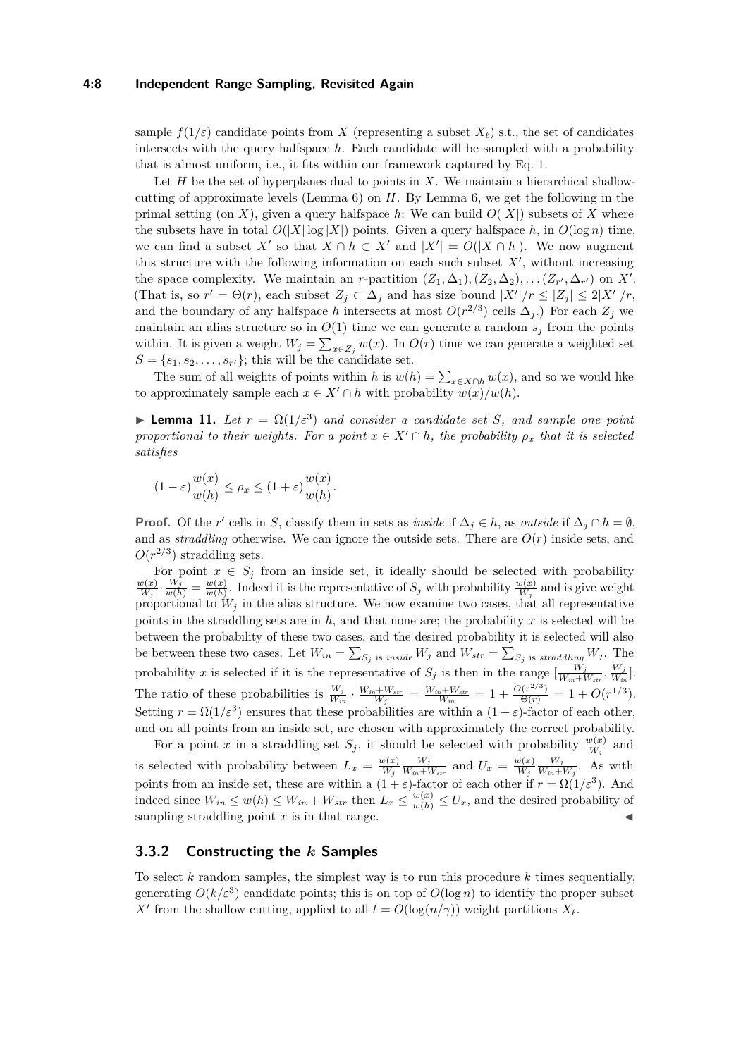## **4:8 Independent Range Sampling, Revisited Again**

sample  $f(1/\varepsilon)$  candidate points from X (representing a subset  $X_\ell$ ) s.t., the set of candidates intersects with the query halfspace *h*. Each candidate will be sampled with a probability that is almost uniform, i.e., it fits within our framework captured by Eq. [1.](#page-6-0)

Let *H* be the set of hyperplanes dual to points in *X*. We maintain a hierarchical shallowcutting of approximate levels (Lemma [6\)](#page-4-1) on *H*. By Lemma [6,](#page-4-1) we get the following in the primal setting (on X), given a query halfspace h: We can build  $O(|X|)$  subsets of X where the subsets have in total  $O(|X| \log |X|)$  points. Given a query halfspace h, in  $O(\log n)$  time, we can find a subset *X'* so that  $X \cap h \subset X'$  and  $|X'| = O(|X \cap h|)$ . We now augment this structure with the following information on each such subset  $X'$ , without increasing the space complexity. We maintain an *r*-partition  $(Z_1, \Delta_1), (Z_2, \Delta_2), \ldots, (Z_{r'}, \Delta_{r'})$  on X'. (That is, so  $r' = \Theta(r)$ , each subset  $Z_j \subset \Delta_j$  and has size bound  $|X'|/r \leq |Z_j| \leq 2|X'|/r$ , and the boundary of any halfspace *h* intersects at most  $O(r^{2/3})$  cells  $\Delta_j$ .) For each  $Z_j$  we maintain an alias structure so in  $O(1)$  time we can generate a random  $s_j$  from the points within. It is given a weight  $W_j = \sum_{x \in Z_j} w(x)$ . In  $O(r)$  time we can generate a weighted set  $S = \{s_1, s_2, \ldots, s_{r'}\};$  this will be the candidate set.

The sum of all weights of points within *h* is  $w(h) = \sum_{x \in X \cap h} w(x)$ , and so we would like to approximately sample each  $x \in X' \cap h$  with probability  $w(x)/w(h)$ .

**Lemma 11.** Let  $r = \Omega(1/\varepsilon^3)$  and consider a candidate set *S*, and sample one point *proportional to their weights. For a point*  $x \in X' \cap h$ *, the probability*  $\rho_x$  *that it is selected satisfies*

$$
(1 - \varepsilon) \frac{w(x)}{w(h)} \le \rho_x \le (1 + \varepsilon) \frac{w(x)}{w(h)}.
$$

**Proof.** Of the *r'* cells in *S*, classify them in sets as *inside* if  $\Delta_j \in h$ , as *outside* if  $\Delta_j \cap h = \emptyset$ , and as *straddling* otherwise. We can ignore the outside sets. There are  $O(r)$  inside sets, and  $O(r^{2/3})$  straddling sets.

For point  $x \in S_j$  from an inside set, it ideally should be selected with probability *w*(*x*)  $\frac{w(x)}{W_j} \cdot \frac{W_j}{w(h)} = \frac{w(x)}{w(h)}$  $\frac{w(x)}{w(h)}$ . Indeed it is the representative of  $S_j$  with probability  $\frac{w(x)}{W_j}$  and is give weight proportional to  $W_j$  in the alias structure. We now examine two cases, that all representative points in the straddling sets are in  $h$ , and that none are; the probability  $x$  is selected will be between the probability of these two cases, and the desired probability it is selected will also be between these two cases. Let  $W_{in} = \sum_{S_j \text{ is } inside} W_j$  and  $W_{str} = \sum_{S_j \text{ is } straddling} W_j$ . The probability *x* is selected if it is the representative of  $S_j$  is then in the range  $\left[\frac{W_j}{W_{i+1}}\right]$  $\frac{W_j}{W_{in}+W_{str}}$ ,  $\frac{W_j}{W_{in}}$  $\frac{W_j}{W_{in}}$ . The ratio of these probabilities is  $\frac{W_j}{W_{in}} \cdot \frac{W_{in} + W_{str}}{W_j} = \frac{W_{in} + W_{str}}{W_{in}} = 1 + \frac{O(r^{2/3})}{\Theta(r)} = 1 + O(r^{1/3}).$ Setting  $r = \Omega(1/\varepsilon^3)$  ensures that these probabilities are within a  $(1 + \varepsilon)$ -factor of each other, and on all points from an inside set, are chosen with approximately the correct probability.

For a point *x* in a straddling set  $S_j$ , it should be selected with probability  $\frac{w(x)}{W_j}$  and is selected with probability between  $L_x = \frac{w(x)}{W_x}$  $W_j$  $W_j$  $\frac{W_j}{W_{in} + W_{str}}$  and  $U_x = \frac{w(x)}{W_j}$  $W_j$  $W_j$  $\frac{W_j}{W_{in}+W_j}$ . As with points from an inside set, these are within a  $(1 + \varepsilon)$ -factor of each other if  $r = \Omega(1/\varepsilon^3)$ . And indeed since  $W_{in} \leq w(h) \leq W_{in} + W_{str}$  then  $L_x \leq \frac{w(x)}{w(h)} \leq U_x$ , and the desired probability of sampling straddling point  $x$  is in that range.

## **3.3.2 Constructing the** *k* **Samples**

To select *k* random samples, the simplest way is to run this procedure *k* times sequentially, generating  $O(k/\varepsilon^3)$  candidate points; this is on top of  $O(\log n)$  to identify the proper subset *X*<sup> $\prime$ </sup> from the shallow cutting, applied to all  $t = O(\log(n/\gamma))$  weight partitions  $X_{\ell}$ .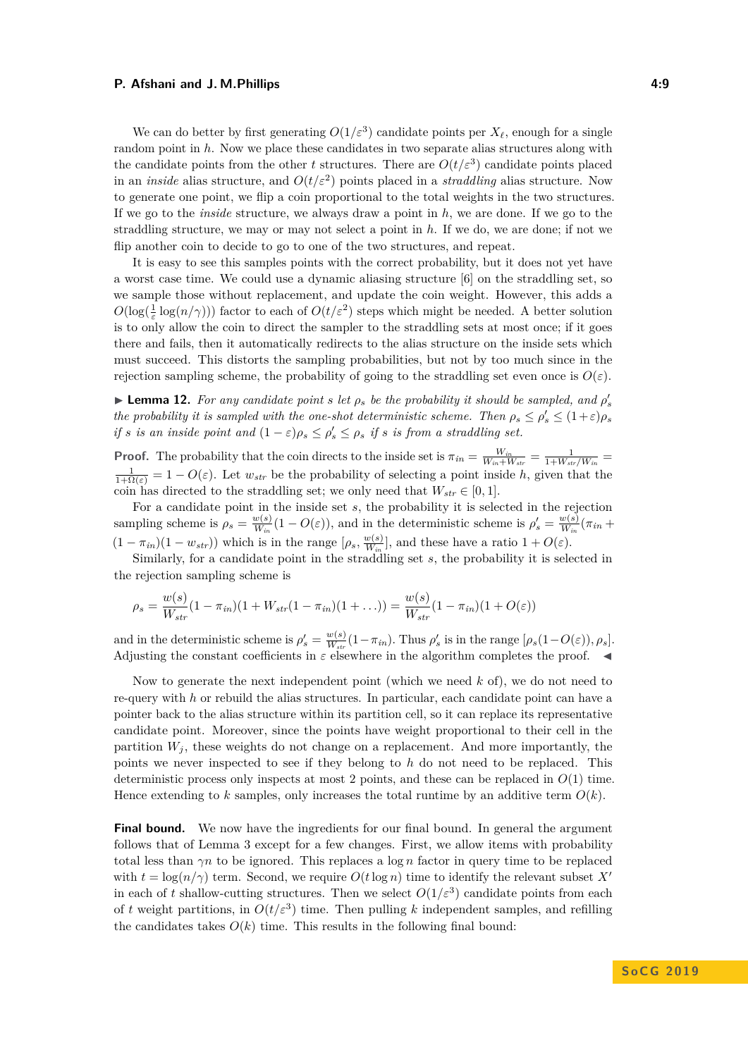#### **P. Afshani and J. M.Phillips 4:9**

We can do better by first generating  $O(1/\varepsilon^3)$  candidate points per  $X_\ell$ , enough for a single random point in *h*. Now we place these candidates in two separate alias structures along with the candidate points from the other *t* structures. There are  $O(t/\varepsilon^3)$  candidate points placed in an *inside* alias structure, and  $O(t/\varepsilon^2)$  points placed in a *straddling* alias structure. Now to generate one point, we flip a coin proportional to the total weights in the two structures. If we go to the *inside* structure, we always draw a point in *h*, we are done. If we go to the straddling structure, we may or may not select a point in *h*. If we do, we are done; if not we flip another coin to decide to go to one of the two structures, and repeat.

It is easy to see this samples points with the correct probability, but it does not yet have a worst case time. We could use a dynamic aliasing structure [\[6\]](#page-12-10) on the straddling set, so we sample those without replacement, and update the coin weight. However, this adds a  $O(\log(\frac{1}{\varepsilon} \log(n/\gamma)))$  factor to each of  $O(t/\varepsilon^2)$  steps which might be needed. A better solution is to only allow the coin to direct the sampler to the straddling sets at most once; if it goes there and fails, then it automatically redirects to the alias structure on the inside sets which must succeed. This distorts the sampling probabilities, but not by too much since in the rejection sampling scheme, the probability of going to the straddling set even once is  $O(\varepsilon)$ .

**Example 12.** For any candidate point *s* let  $\rho_s$  be the probability it should be sampled, and  $\rho'_s$ *the probability it is sampled with the one-shot deterministic scheme. Then*  $\rho_s \leq \rho_s' \leq (1+\varepsilon)\rho_s$ *if s is an inside point and*  $(1 - \varepsilon)\rho_s \leq \rho'_s \leq \rho_s$  *if s is from a straddling set.* 

**Proof.** The probability that the coin directs to the inside set is  $\pi_{in} = \frac{W_{in}}{W_{in} + W_{str}} = \frac{1}{1 + W_{str}/W_{in}} =$  $\frac{1}{1+\Omega(\varepsilon)} = 1 - O(\varepsilon)$ . Let  $w_{str}$  be the probability of selecting a point inside *h*, given that the coin has directed to the straddling set; we only need that  $W_{str} \in [0, 1]$ .

For a candidate point in the inside set *s*, the probability it is selected in the rejection sampling scheme is  $\rho_s = \frac{w(s)}{W_{in}}$  $\frac{w(s)}{W_{in}}(1 - O(\varepsilon))$ , and in the deterministic scheme is  $\rho'_s = \frac{w(s)}{W_{in}}$  $\frac{w(s)}{W_{in}}(\pi_{in} +$  $(1 - \pi_{in})(1 - w_{str})$ ) which is in the range  $[\rho_s, \frac{w(s)}{W_s}]$  $\frac{w(s)}{W_{in}}$ , and these have a ratio  $1 + O(\varepsilon)$ .

Similarly, for a candidate point in the straddling set *s*, the probability it is selected in the rejection sampling scheme is

$$
\rho_s = \frac{w(s)}{W_{str}} (1 - \pi_{in}) (1 + W_{str} (1 - \pi_{in}) (1 + ...)) = \frac{w(s)}{W_{str}} (1 - \pi_{in}) (1 + O(\varepsilon))
$$

and in the deterministic scheme is  $\rho'_{s} = \frac{w(s)}{W_{str}}$  $\frac{w(s)}{W_{str}}(1-\pi_{in})$ . Thus  $\rho'_s$  is in the range  $[\rho_s(1-O(\varepsilon)), \rho_s]$ . Adjusting the constant coefficients in  $\varepsilon$  elsewhere in the algorithm completes the proof.  $\blacktriangleleft$ 

Now to generate the next independent point (which we need *k* of), we do not need to re-query with *h* or rebuild the alias structures. In particular, each candidate point can have a pointer back to the alias structure within its partition cell, so it can replace its representative candidate point. Moreover, since the points have weight proportional to their cell in the partition  $W_i$ , these weights do not change on a replacement. And more importantly, the points we never inspected to see if they belong to *h* do not need to be replaced. This deterministic process only inspects at most 2 points, and these can be replaced in *O*(1) time. Hence extending to k samples, only increases the total runtime by an additive term  $O(k)$ .

**Final bound.** We now have the ingredients for our final bound. In general the argument follows that of Lemma [3](#page-3-0) except for a few changes. First, we allow items with probability total less than *γn* to be ignored. This replaces a log *n* factor in query time to be replaced with  $t = \log(n/\gamma)$  term. Second, we require  $O(t \log n)$  time to identify the relevant subset X' in each of *t* shallow-cutting structures. Then we select  $O(1/\varepsilon^3)$  candidate points from each of *t* weight partitions, in  $O(t/\varepsilon^3)$  time. Then pulling *k* independent samples, and refilling the candidates takes  $O(k)$  time. This results in the following final bound: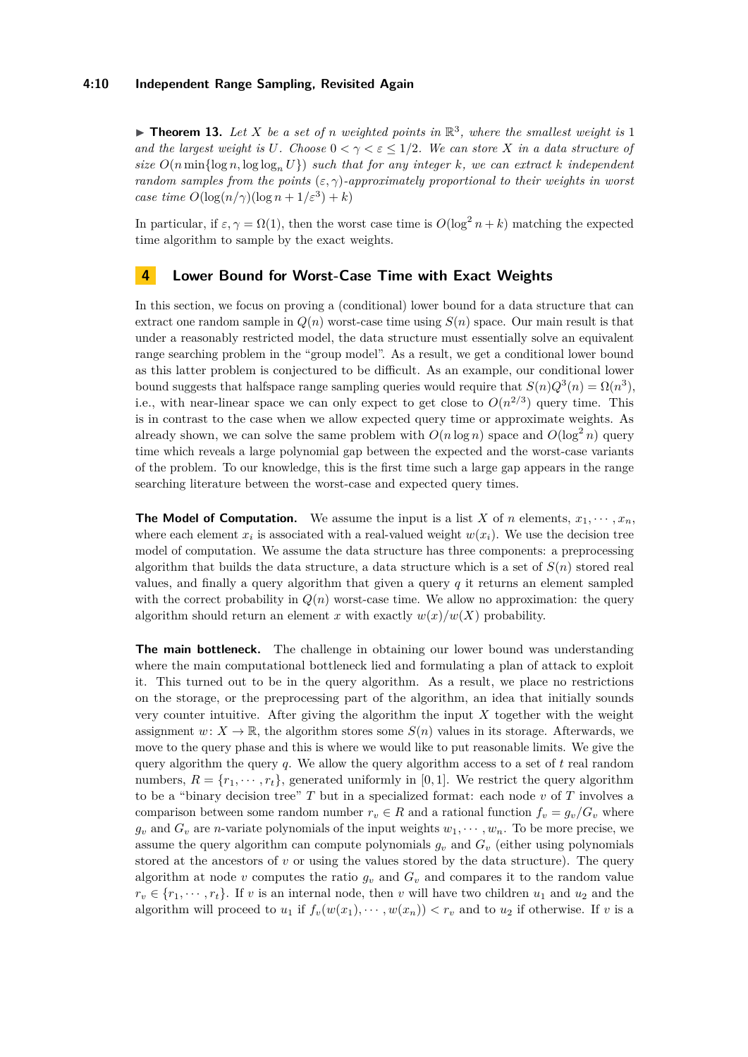### **4:10 Independent Range Sampling, Revisited Again**

**Theorem 13.** Let *X* be a set of *n* weighted points in  $\mathbb{R}^3$ , where the smallest weight is 1 *and the largest weight is* U. Choose  $0 < \gamma < \varepsilon \leq 1/2$ . We can store X in a data structure of *size*  $O(n \min{\log{n, \log\log{n} U}})$  *such that for any integer k, we can extract k independent random samples from the points* (*ε, γ*)*-approximately proportional to their weights in worst case time*  $O(\log(n/\gamma)(\log n + 1/\varepsilon^3) + k)$ 

In particular, if  $\varepsilon, \gamma = \Omega(1)$ , then the worst case time is  $O(\log^2 n + k)$  matching the expected time algorithm to sample by the exact weights.

## **4 Lower Bound for Worst-Case Time with Exact Weights**

In this section, we focus on proving a (conditional) lower bound for a data structure that can extract one random sample in  $Q(n)$  worst-case time using  $S(n)$  space. Our main result is that under a reasonably restricted model, the data structure must essentially solve an equivalent range searching problem in the "group model". As a result, we get a conditional lower bound as this latter problem is conjectured to be difficult. As an example, our conditional lower bound suggests that halfspace range sampling queries would require that  $S(n)Q^3(n) = \Omega(n^3)$ , i.e., with near-linear space we can only expect to get close to  $O(n^{2/3})$  query time. This is in contrast to the case when we allow expected query time or approximate weights. As already shown, we can solve the same problem with  $O(n \log n)$  space and  $O(\log^2 n)$  query time which reveals a large polynomial gap between the expected and the worst-case variants of the problem. To our knowledge, this is the first time such a large gap appears in the range searching literature between the worst-case and expected query times.

**The Model of Computation.** We assume the input is a list *X* of *n* elements,  $x_1, \dots, x_n$ , where each element  $x_i$  is associated with a real-valued weight  $w(x_i)$ . We use the decision tree model of computation. We assume the data structure has three components: a preprocessing algorithm that builds the data structure, a data structure which is a set of  $S(n)$  stored real values, and finally a query algorithm that given a query *q* it returns an element sampled with the correct probability in  $Q(n)$  worst-case time. We allow no approximation: the query algorithm should return an element *x* with exactly  $w(x)/w(X)$  probability.

**The main bottleneck.** The challenge in obtaining our lower bound was understanding where the main computational bottleneck lied and formulating a plan of attack to exploit it. This turned out to be in the query algorithm. As a result, we place no restrictions on the storage, or the preprocessing part of the algorithm, an idea that initially sounds very counter intuitive. After giving the algorithm the input *X* together with the weight assignment  $w: X \to \mathbb{R}$ , the algorithm stores some  $S(n)$  values in its storage. Afterwards, we move to the query phase and this is where we would like to put reasonable limits. We give the query algorithm the query *q*. We allow the query algorithm access to a set of *t* real random numbers,  $R = \{r_1, \dots, r_t\}$ , generated uniformly in [0,1]. We restrict the query algorithm to be a "binary decision tree" *T* but in a specialized format: each node *v* of *T* involves a comparison between some random number  $r_v \in R$  and a rational function  $f_v = g_v/G_v$  where  $g_v$  and  $G_v$  are *n*-variate polynomials of the input weights  $w_1, \dots, w_n$ . To be more precise, we assume the query algorithm can compute polynomials  $g_v$  and  $G_v$  (either using polynomials stored at the ancestors of *v* or using the values stored by the data structure). The query algorithm at node  $v$  computes the ratio  $g_v$  and  $G_v$  and compares it to the random value  $r_v \in \{r_1, \dots, r_t\}$ . If *v* is an internal node, then *v* will have two children  $u_1$  and  $u_2$  and the algorithm will proceed to  $u_1$  if  $f_v(w(x_1), \dots, w(x_n)) < r_v$  and to  $u_2$  if otherwise. If *v* is a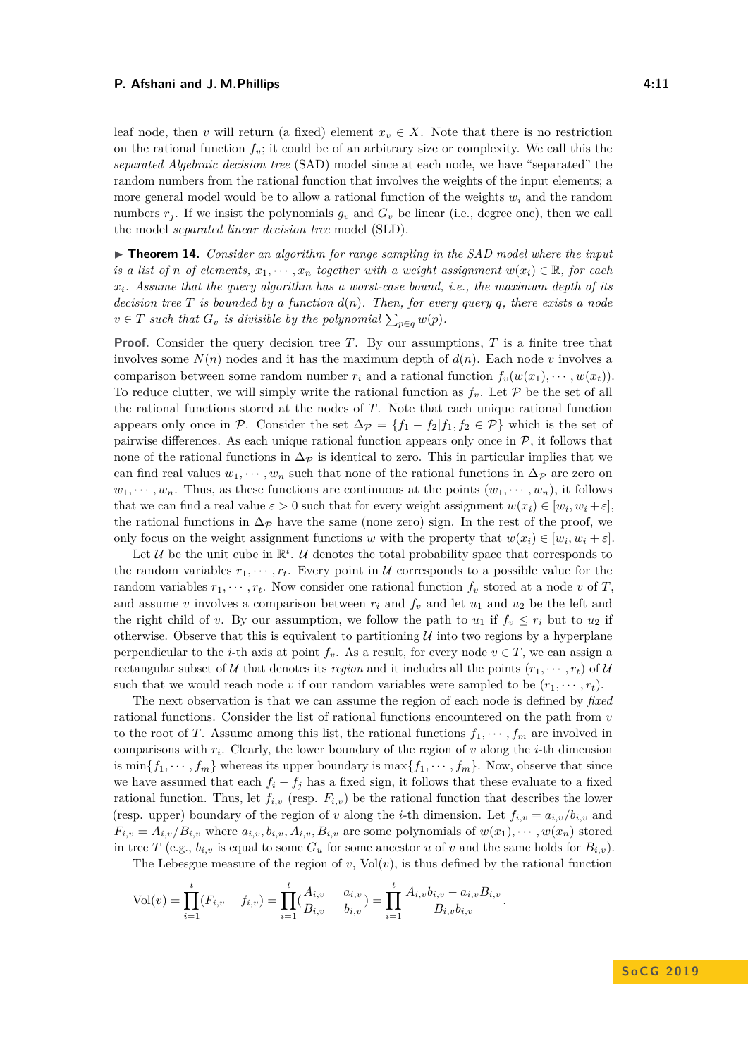#### **P.** Afshani and J. M. Phillips 4:11

leaf node, then *v* will return (a fixed) element  $x_v \in X$ . Note that there is no restriction on the rational function  $f_v$ ; it could be of an arbitrary size or complexity. We call this the *separated Algebraic decision tree* (SAD) model since at each node, we have "separated" the random numbers from the rational function that involves the weights of the input elements; a more general model would be to allow a rational function of the weights  $w_i$  and the random numbers  $r_i$ . If we insist the polynomials  $q_v$  and  $G_v$  be linear (i.e., degree one), then we call the model *separated linear decision tree* model (SLD).

► **Theorem 14.** *Consider an algorithm for range sampling in the SAD model where the input is a list of n of elements,*  $x_1, \dots, x_n$  *together with a weight assignment*  $w(x_i) \in \mathbb{R}$ *, for each xi. Assume that the query algorithm has a worst-case bound, i.e., the maximum depth of its decision tree T is bounded by a function d*(*n*)*. Then, for every query q, there exists a node*  $v \in T$  *such that*  $G_v$  *is divisible by the polynomial*  $\sum_{p \in q} w(p)$ *.* 

**Proof.** Consider the query decision tree *T*. By our assumptions, *T* is a finite tree that involves some  $N(n)$  nodes and it has the maximum depth of  $d(n)$ . Each node *v* involves a comparison between some random number  $r_i$  and a rational function  $f_v(w(x_1), \dots, w(x_t))$ . To reduce clutter, we will simply write the rational function as  $f<sub>v</sub>$ . Let  $\mathcal{P}$  be the set of all the rational functions stored at the nodes of *T*. Note that each unique rational function appears only once in P. Consider the set  $\Delta_p = \{f_1 - f_2 | f_1, f_2 \in \mathcal{P}\}\$  which is the set of pairwise differences. As each unique rational function appears only once in  $P$ , it follows that none of the rational functions in  $\Delta_{\mathcal{P}}$  is identical to zero. This in particular implies that we can find real values  $w_1, \dots, w_n$  such that none of the rational functions in  $\Delta_{\mathcal{P}}$  are zero on  $w_1, \dots, w_n$ . Thus, as these functions are continuous at the points  $(w_1, \dots, w_n)$ , it follows that we can find a real value  $\varepsilon > 0$  such that for every weight assignment  $w(x_i) \in [w_i, w_i + \varepsilon]$ , the rational functions in  $\Delta_{\mathcal{P}}$  have the same (none zero) sign. In the rest of the proof, we only focus on the weight assignment functions *w* with the property that  $w(x_i) \in [w_i, w_i + \varepsilon]$ .

Let U be the unit cube in  $\mathbb{R}^t$ . U denotes the total probability space that corresponds to the random variables  $r_1, \dots, r_t$ . Every point in U corresponds to a possible value for the random variables  $r_1, \dots, r_t$ . Now consider one rational function  $f_v$  stored at a node v of T. and assume *v* involves a comparison between  $r_i$  and  $f_v$  and let  $u_1$  and  $u_2$  be the left and the right child of *v*. By our assumption, we follow the path to  $u_1$  if  $f_v \leq r_i$  but to  $u_2$  if otherwise. Observe that this is equivalent to partitioning  $U$  into two regions by a hyperplane perpendicular to the *i*-th axis at point  $f_v$ . As a result, for every node  $v \in T$ , we can assign a rectangular subset of U that denotes its *region* and it includes all the points  $(r_1, \dots, r_t)$  of U such that we would reach node *v* if our random variables were sampled to be  $(r_1, \dots, r_t)$ .

The next observation is that we can assume the region of each node is defined by *fixed* rational functions. Consider the list of rational functions encountered on the path from *v* to the root of *T*. Assume among this list, the rational functions  $f_1, \dots, f_m$  are involved in comparisons with  $r_i$ . Clearly, the lower boundary of the region of  $v$  along the *i*-th dimension is  $\min\{f_1, \dots, f_m\}$  whereas its upper boundary is  $\max\{f_1, \dots, f_m\}$ . Now, observe that since we have assumed that each  $f_i - f_j$  has a fixed sign, it follows that these evaluate to a fixed rational function. Thus, let  $f_{i,v}$  (resp.  $F_{i,v}$ ) be the rational function that describes the lower (resp. upper) boundary of the region of *v* along the *i*-th dimension. Let  $f_{i,v} = a_{i,v}/b_{i,v}$  and  $F_{i,v} = A_{i,v}/B_{i,v}$  where  $a_{i,v}, b_{i,v}, A_{i,v}, B_{i,v}$  are some polynomials of  $w(x_1), \dots, w(x_n)$  stored in tree *T* (e.g.,  $b_{i,v}$  is equal to some  $G_u$  for some ancestor *u* of *v* and the same holds for  $B_{i,v}$ ).

The Lebesgue measure of the region of *v*,  $Vol(v)$ , is thus defined by the rational function

$$
\text{Vol}(v) = \prod_{i=1}^t (F_{i,v} - f_{i,v}) = \prod_{i=1}^t (\frac{A_{i,v}}{B_{i,v}} - \frac{a_{i,v}}{b_{i,v}}) = \prod_{i=1}^t \frac{A_{i,v}b_{i,v} - a_{i,v}B_{i,v}}{B_{i,v}b_{i,v}}.
$$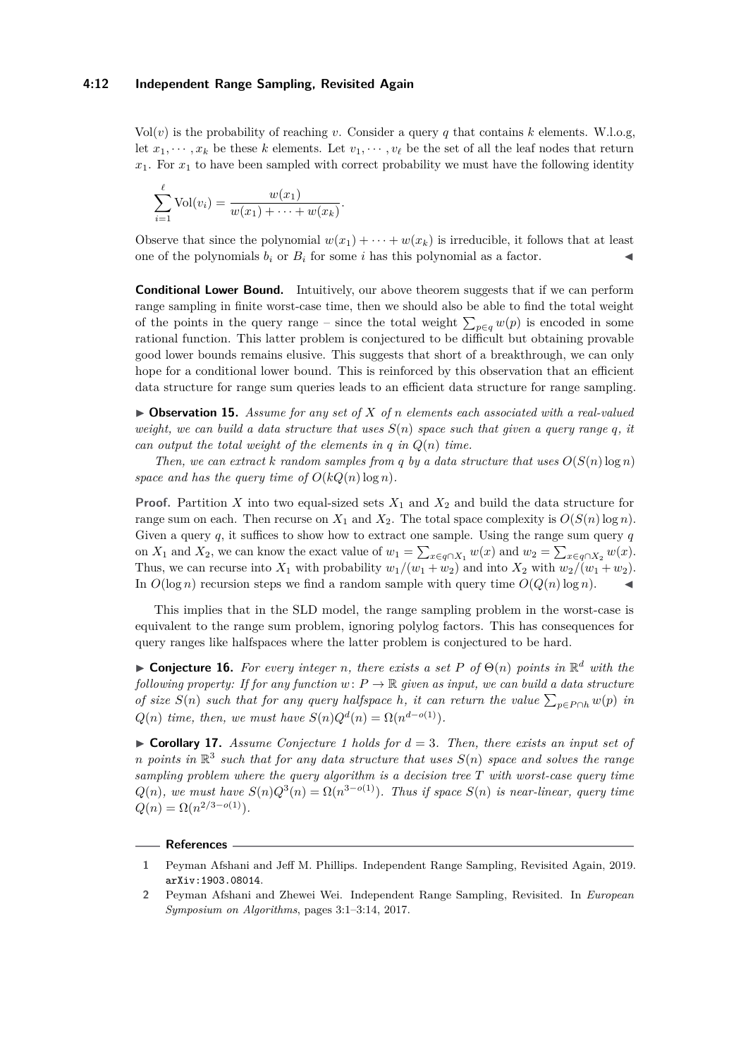## **4:12 Independent Range Sampling, Revisited Again**

Vol( $v$ ) is the probability of reaching  $v$ . Consider a query  $q$  that contains  $k$  elements. W.l.o.g, let  $x_1, \dots, x_k$  be these *k* elements. Let  $v_1, \dots, v_\ell$  be the set of all the leaf nodes that return  $x_1$ . For  $x_1$  to have been sampled with correct probability we must have the following identity

$$
\sum_{i=1}^{\ell} \text{Vol}(v_i) = \frac{w(x_1)}{w(x_1) + \dots + w(x_k)}.
$$

Observe that since the polynomial  $w(x_1) + \cdots + w(x_k)$  is irreducible, it follows that at least one of the polynomials  $b_i$  or  $B_i$  for some *i* has this polynomial as a factor.

**Conditional Lower Bound.** Intuitively, our above theorem suggests that if we can perform range sampling in finite worst-case time, then we should also be able to find the total weight of the points in the query range – since the total weight  $\sum_{p \in q} w(p)$  is encoded in some rational function. This latter problem is conjectured to be difficult but obtaining provable good lower bounds remains elusive. This suggests that short of a breakthrough, we can only hope for a conditional lower bound. This is reinforced by this observation that an efficient data structure for range sum queries leads to an efficient data structure for range sampling.

I **Observation 15.** *Assume for any set of X of n elements each associated with a real-valued weight, we can build a data structure that uses*  $S(n)$  *space such that given a query range q, it can output the total weight of the elements in q in Q*(*n*) *time.*

*Then, we can extract k random samples from q by a data structure that uses*  $O(S(n) \log n)$ *space and has the query time of*  $O(kQ(n) \log n)$ .

**Proof.** Partition *X* into two equal-sized sets  $X_1$  and  $X_2$  and build the data structure for range sum on each. Then recurse on  $X_1$  and  $X_2$ . The total space complexity is  $O(S(n) \log n)$ . Given a query *q*, it suffices to show how to extract one sample. Using the range sum query *q* on  $X_1$  and  $X_2$ , we can know the exact value of  $w_1 = \sum_{x \in q \cap X_1} w(x)$  and  $w_2 = \sum_{x \in q \cap X_2} w(x)$ . Thus, we can recurse into  $X_1$  with probability  $w_1/(w_1 + w_2)$  and into  $X_2$  with  $w_2/(w_1 + w_2)$ . In  $O(\log n)$  recursion steps we find a random sample with query time  $O(Q(n) \log n)$ .

This implies that in the SLD model, the range sampling problem in the worst-case is equivalent to the range sum problem, ignoring polylog factors. This has consequences for query ranges like halfspaces where the latter problem is conjectured to be hard.

**Conjecture 16.** For every integer *n*, there exists a set  $P$  of  $\Theta(n)$  points in  $\mathbb{R}^d$  with the *following property:* If for any function  $w: P \to \mathbb{R}$  given as input, we can build a data structure *of size*  $S(n)$  *such that for any query halfspace h*, *it can return the value*  $\sum_{p \in P \cap h} w(p)$  *in*  $Q(n)$  *time, then, we must have*  $S(n)Q^d(n) = \Omega(n^{d - o(1)})$ *.* 

 $\triangleright$  **Corollary 17.** *Assume Conjecture 1 holds for*  $d = 3$ *. Then, there exists an input set of n* points in  $\mathbb{R}^3$  such that for any data structure that uses  $S(n)$  space and solves the range *sampling problem where the query algorithm is a decision tree T with worst-case query time*  $Q(n)$ , we must have  $S(n)Q^3(n) = \Omega(n^{3-o(1)})$ . Thus if space  $S(n)$  is near-linear, query time  $Q(n) = \Omega(n^{2/3 - o(1)})$ .

#### **References**

<span id="page-11-0"></span>**<sup>1</sup>** Peyman Afshani and Jeff M. Phillips. Independent Range Sampling, Revisited Again, 2019. [arXiv:1903.08014](http://arxiv.org/abs/1903.08014).

<span id="page-11-1"></span>**<sup>2</sup>** Peyman Afshani and Zhewei Wei. Independent Range Sampling, Revisited. In *European Symposium on Algorithms*, pages 3:1–3:14, 2017.